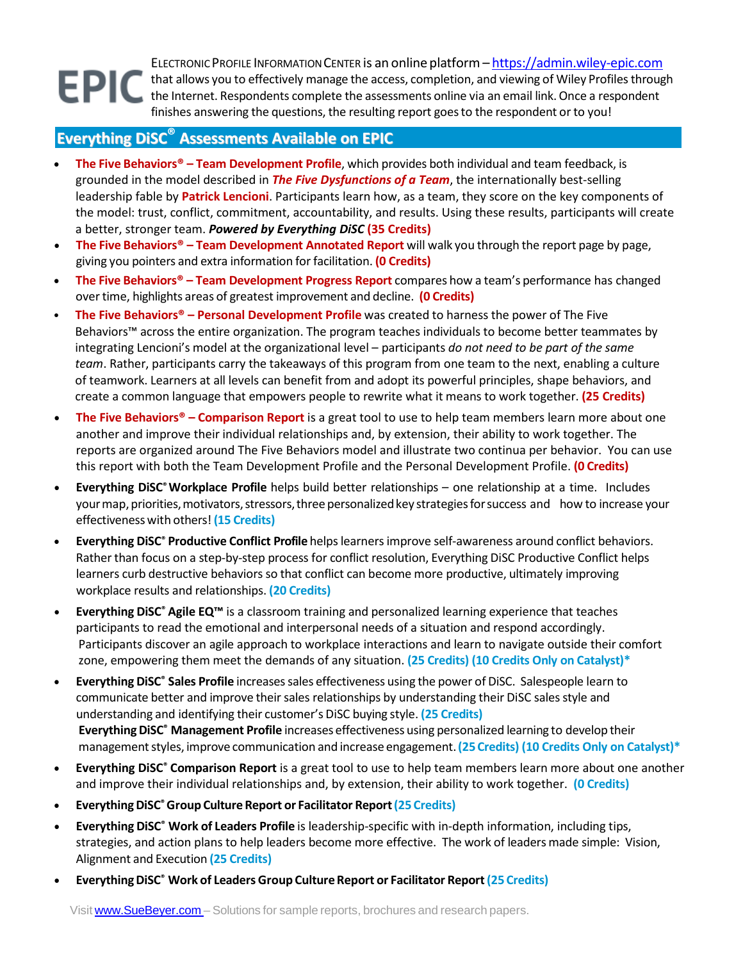ELECTRONIC PROFILE INFORMATION CENTER is an online platform - [https://admin.wiley-epic.com](https://admin.wiley-epic.com/) that allows you to effectively manage the access, completion, and viewing of Wiley Profilesthrough the Internet. Respondents complete the assessments online via an email link. Once a respondent finishes answering the questions, the resulting report goesto the respondent or to you!

## **Everything DiSC® Assessments Available on EPIC**

- **The Five Behaviors® – Team Development Profile**, which provides both individual and team feedback, is grounded in the model described in *The Five Dysfunctions of a Team*, the internationally best-selling leadership fable by **Patrick Lencioni**. Participants learn how, as a team, they score on the key components of the model: trust, conflict, commitment, accountability, and results. Using these results, participants will create a better, stronger team. *Powered by Everything DiSC* **(35 Credits)**
- **The Five Behaviors® – Team Development Annotated Report** will walk you through the report page by page, giving you pointers and extra information for facilitation. **(0 Credits)**
- **The Five Behaviors® – Team Development Progress Report** compares how a team's performance has changed overtime, highlights areas of greatest improvement and decline. **(0 Credits)**
- **The Five Behaviors® – Personal Development Profile** was created to harness the power of The Five Behaviors™ across the entire organization. The program teaches individuals to become better teammates by integrating Lencioni's model at the organizational level – participants *do not need to be part of the same team*. Rather, participants carry the takeaways of this program from one team to the next, enabling a culture of teamwork. Learners at all levels can benefit from and adopt its powerful principles, shape behaviors, and create a common language that empowers people to rewrite what it means to work together. **(25 Credits)**
- **The Five Behaviors® – Comparison Report** is a great tool to use to help team members learn more about one another and improve their individual relationships and, by extension, their ability to work together. The reports are organized around The Five Behaviors model and illustrate two continua per behavior. You can use this report with both the Team Development Profile and the Personal Development Profile. **(0 Credits)**
- **Everything DiSC®Workplace Profile** helps build better relationships one relationship at a time. Includes your map, priorities, motivators, stressors, three personalized key strategies for success and how to increase your effectivenesswith others! **(15 Credits)**
- **Everything DiSC® Productive Conflict Profile** helpslearnersimprove self-awareness around conflict behaviors. Rather than focus on a step-by-step process for conflict resolution, Everything DiSC Productive Conflict helps learners curb destructive behaviors so that conflict can become more productive, ultimately improving workplace results and relationships. **(20 Credits)**
- **Everything DiSC® Agile EQ™** is a classroom training and personalized learning experience that teaches participants to read the emotional and interpersonal needs of a situation and respond accordingly. Participants discover an agile approach to workplace interactions and learn to navigate outside their comfort zone, empowering them meet the demands of any situation. **(25 Credits) (10 Credits Only on Catalyst)\***
- **Everything DiSC® Sales Profile** increasessales effectiveness using the power of DiSC. Salespeople learn to communicate better and improve their sales relationships by understanding their DiSC sales style and understanding and identifying their customer's DiSC buying style. **(25 Credits) EverythingDiSC® Management Profile** increases effectiveness using personalized learning to develop their managementstyles, improve communication and increase engagement.**(25 Credits) (10 Credits Only on Catalyst)\***
- **Everything DiSC® Comparison Report** is a great tool to use to help team members learn more about one another and improve their individual relationships and, by extension, their ability to work together. **(0 Credits)**
- **EverythingDiSC®Group CultureReport or Facilitator Report(25 Credits)**
- **Everything DiSC® Work of Leaders Profile** is leadership-specific with in-depth information, including tips, strategies, and action plans to help leaders become more effective. The work of leaders made simple: Vision, Alignment and Execution **(25 Credits)**
- **EverythingDiSC® Work of Leaders Group CultureReport or Facilitator Report(25 Credits)**

Visit [www.SueBeyer.com](http://www.suebeyer.com/) – Solutions for sample reports, brochures and research papers.